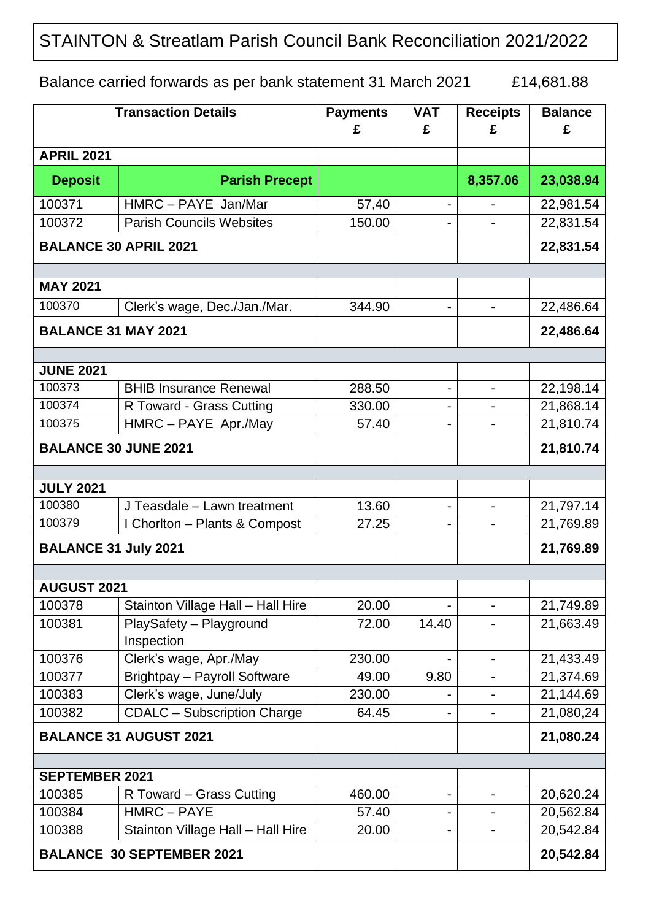## STAINTON & Streatlam Parish Council Bank Reconciliation 2021/2022

Balance carried forwards as per bank statement 31 March 2021 £14,681.88

| <b>Transaction Details</b>       |                                                | <b>Payments</b><br>£ | <b>VAT</b><br>£              | <b>Receipts</b><br>£         | <b>Balance</b><br>£    |  |  |
|----------------------------------|------------------------------------------------|----------------------|------------------------------|------------------------------|------------------------|--|--|
| <b>APRIL 2021</b>                |                                                |                      |                              |                              |                        |  |  |
| <b>Deposit</b>                   | <b>Parish Precept</b>                          |                      |                              | 8,357.06                     | 23,038.94              |  |  |
| 100371                           | HMRC - PAYE Jan/Mar                            | 57,40                | $\blacksquare$               |                              | 22,981.54              |  |  |
| 100372                           | <b>Parish Councils Websites</b>                | 150.00               |                              |                              | 22,831.54              |  |  |
| <b>BALANCE 30 APRIL 2021</b>     |                                                |                      |                              |                              | 22,831.54              |  |  |
| <b>MAY 2021</b>                  |                                                |                      |                              |                              |                        |  |  |
| 100370                           | Clerk's wage, Dec./Jan./Mar.                   | 344.90               | $\qquad \qquad \blacksquare$ |                              | 22,486.64              |  |  |
| <b>BALANCE 31 MAY 2021</b>       |                                                |                      |                              |                              | 22,486.64              |  |  |
| <b>JUNE 2021</b>                 |                                                |                      |                              |                              |                        |  |  |
| 100373                           | <b>BHIB Insurance Renewal</b>                  | 288.50               | ۰                            | $\qquad \qquad \blacksquare$ | 22,198.14              |  |  |
| 100374                           | R Toward - Grass Cutting                       | 330.00               |                              |                              | 21,868.14              |  |  |
| 100375                           | HMRC - PAYE Apr./May                           | 57.40                |                              |                              | 21,810.74              |  |  |
| <b>BALANCE 30 JUNE 2021</b>      |                                                |                      |                              |                              | 21,810.74              |  |  |
|                                  |                                                |                      |                              |                              |                        |  |  |
| <b>JULY 2021</b>                 |                                                |                      |                              |                              |                        |  |  |
| 100380                           | J Teasdale - Lawn treatment                    | 13.60                | $\overline{\phantom{a}}$     | $\overline{\phantom{0}}$     | 21,797.14              |  |  |
| 100379                           | I Chorlton - Plants & Compost                  | 27.25                |                              |                              | 21,769.89              |  |  |
| <b>BALANCE 31 July 2021</b>      |                                                |                      |                              |                              | 21,769.89              |  |  |
| <b>AUGUST 2021</b>               |                                                |                      |                              |                              |                        |  |  |
| 100378                           | Stainton Village Hall - Hall Hire              | 20.00                |                              |                              | 21,749.89              |  |  |
| 100381                           | PlaySafety - Playground<br>Inspection          | 72.00                | 14.40                        |                              | 21,663.49              |  |  |
| 100376                           | Clerk's wage, Apr./May                         | 230.00               |                              | $\overline{\phantom{0}}$     | 21,433.49              |  |  |
| 100377                           | Brightpay - Payroll Software                   | 49.00                | 9.80                         |                              | 21,374.69              |  |  |
| 100383                           | Clerk's wage, June/July                        | 230.00               |                              |                              | 21,144.69              |  |  |
| 100382                           | <b>CDALC</b> - Subscription Charge             | 64.45                |                              |                              | 21,080,24              |  |  |
| <b>BALANCE 31 AUGUST 2021</b>    |                                                |                      |                              |                              | 21,080.24              |  |  |
|                                  |                                                |                      |                              |                              |                        |  |  |
| <b>SEPTEMBER 2021</b>            |                                                |                      |                              |                              |                        |  |  |
| 100385                           | R Toward – Grass Cutting                       | 460.00               | ۰                            |                              | 20,620.24              |  |  |
| 100384<br>100388                 | HMRC-PAYE<br>Stainton Village Hall - Hall Hire | 57.40<br>20.00       |                              |                              | 20,562.84<br>20,542.84 |  |  |
|                                  |                                                |                      |                              |                              |                        |  |  |
| <b>BALANCE 30 SEPTEMBER 2021</b> |                                                |                      |                              |                              | 20,542.84              |  |  |